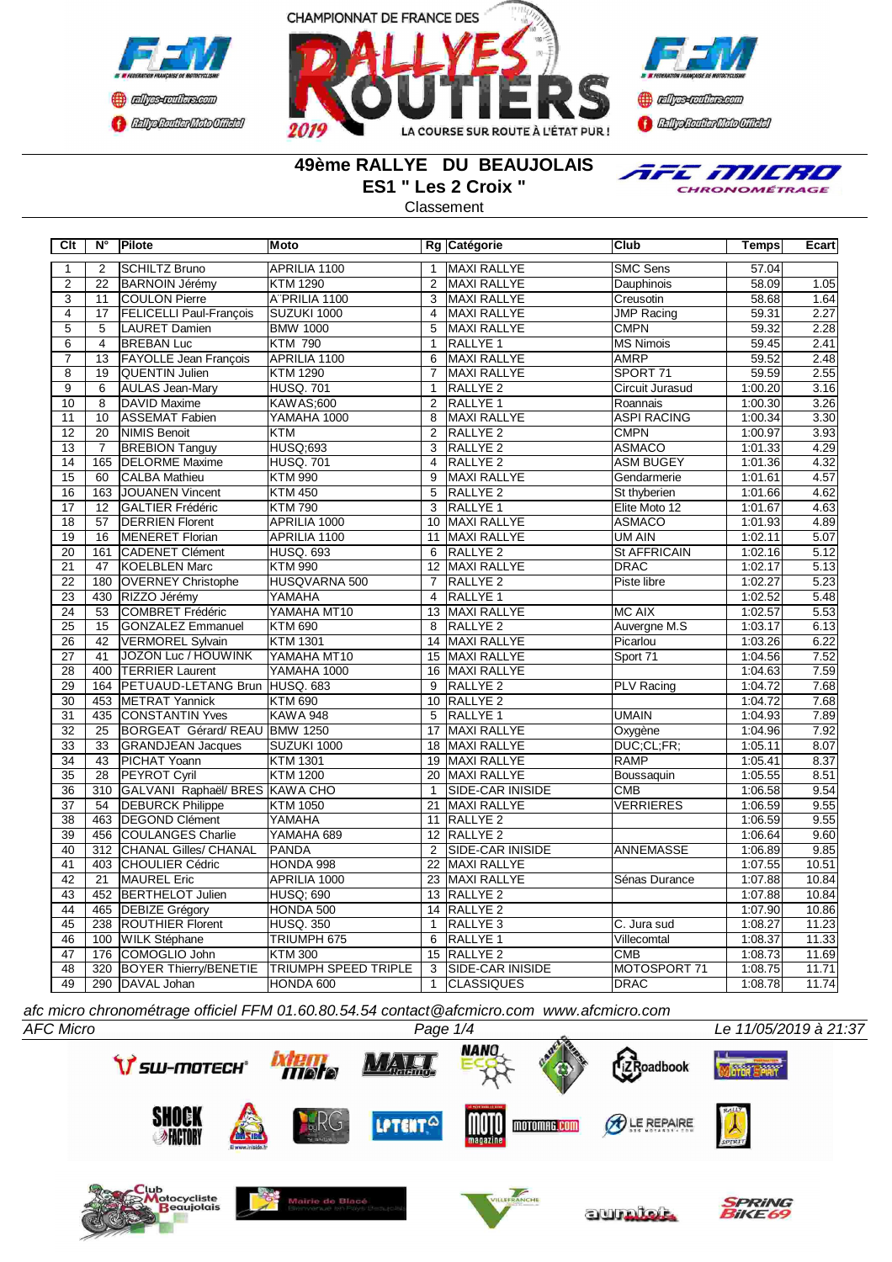





## **49ème RALLYE DU BEAUJOLAIS ES1 " Les 2 Croix "**

**Classement** 



**Clt N° Pilote Moto Rg Catégorie Club Temps Ecart** 2 SCHILTZ Bruno APRILIA 1100 | 1 MAXI RALLYE | SMC Sens | 57.04 2 22 BARNOIN Jérémy KTM 1290 2 MAXI RALLYE Dauphinois 58.09 1.05 3 11 COULON Pierre A¨PRILIA 1100 3 MAXI RALLYE Creusotin 58.68 1.64 4 17 FELICELLI Paul-François SUZUKI 1000 4 MAXI RALLYE JMP Racing 39.31 2.27<br>5 5 LAURET Damien BMW 1000 5 MAXI RALLYE CMPN 59.32 2.28 5 5 LAURET Damien BMW 1000 5 MAXI RALLYE CMPN 59.32 2.28<br>6 4 ERFBANTIJC KTM 790 11 RALLYE 1 MS Nimois 59.45 2.41 6 4 BREBAN Luc KTM 790 1 RALLYE 1 MS Nimois 59.45 2.41 7 13 FAYOLLE Jean Francois APRILIA 1100 6 MAXI RALLYE AMRP 59.52 2.48 8 19 QUENTIN Julien KTM 1290 7 MAXI RALLYE SPORT 71 59.59 2.55<br>1 RALLYE 2 Circuit Jurasud 1:00.20 3.16 AULAS Jean-Mary 10 8 DAVID Maxime KAWAS;600 2 RALLYE 1 Roannais 1:00.30 3.26 11 10 ASSEMAT Fabien TYAMAHA 1000 8 MAXI RALLYE ASPI RACING 1:00.34 3.30 12 20 NIMIS Benoit KTM 2 RALLYE 2 CMPN 1:00.97 3.93 13 7 BREBION Tanguy HUSQ;693 3 RALLYE 2 ASMACO 1:01.33 4.29 14 165 DELORME Maxime HUSQ. 701 4 RALLYE 2 ASM BUGEY 1:01.36 4.32<br>15 60 CALBA Mathieu KTM 990 9 MAXI RALLYE Gendarmerie 1:01.61 4.57 15 60 CALBA Mathieu KTM 990 9 MAXI RALLYE Gendarmerie 1:01.61 4.57 16 | 163 JOUANEN Vincent | KTM 450 | S | RALLYE 2 | St thyberien | 1:01.66 | 4.62 17 12 GALTIER Frédéric KTM 790 3 RALLYE 1 Elite Moto 12 1:01.67 4.63 18 57 DERRIEN Florent APRILIA 1000 10 MAXI RALLYE ASMACO 1:01.93 4.89 19 16 MENERET Florian 19 APRILIA 1100 11 MAXI RALLYE 100 11 MAXI RALLYE 1.02.11 5.07<br>19 161 CADENET Clément HUSQ 693 6 RALLYE 2 St AFFRICAIN 1:02.16 5.12 161 CADENET Clément 21 47 KOELBLEN Marc KTM 990 12 MAXI RALLYE DRAC 1:02.17 5.13<br>22 180 OVERNEY Christophe HUSQVARNA 500 7 RALLYE 2 Piste libre 1:02.27 5.23 22 180 OVERNEY Christophe HUSQVARNA 500 7 RALLYE 2 Piste libre 1:02.27 5.23 23 430 RIZZO Jérémy YAMAHA 4 RALLYE 1 1:02.52 5.48<br>24 53 COMBRET Frédéric YAMAHA MT10 13 MAXI RALLYE MC AIX 1:02.57 5.53 24 53 COMBRET Frédéric YAMAHA MT10 13 MAXI RALLYE MC AIX 1:02.57 5.53<br>25 15 GONZALEZ Emmanuel KTM 690 18 RALLYE 2 Auvergne M.S 1:03.17 6.13 25 15 GONZALEZ Emmanuel KTM 690 8 RALLYE 2 Auvergne M.S 1:03.17 6.13<br>26 42 VERMOREL Svivain KTM 1301 14 MAXI RALLYE Picarlou 1:03.26 6.22 26 42 VERMOREL Sylvain KTM 1301 14 MAXI RALLYE Picarlou 1:03.26 6.22 27 41 JOZON Luc / HOUWINK YAMAHA MT10 15 MAXI RALLYE Sport 71 1:04.56 7.52 28 400 TERRIER Laurent YAMAHA 1000 16 MAXI RALLYE 1:04.63 7.59<br>29 164 PETUAUD-LETANG Brun HUSQ. 683 9 RALLYE 2 PLV Racing 1:04.72 7.68 29 164 PETUAUD-LETANG Brun HUSQ. 683 9 RALLYE 2 PLV Racing 1:04.72 7.68<br>30 453 METRAT Yannick KTM 690 10 RALLYE 2 PLV Racing 1:04.72 7.68 **30 453 METRAT Yannick KTM 690** 10 RALLYE 2 1:04.72 31 435 CONSTANTIN Yves KAWA 948 5 RALLYE 1 UMAIN 1:04.93 7.89 32 25 BORGEAT Gérard/ REAU BMW 1250 17 MAXI RALLYE Quygène 1:04.96 7.92<br>33 33 GRANDJEAN Jacques SUZUKI 1000 18 MAXI RALLYE DUC;CL;FR; 1:05.11 8.07 GRANDJEAN Jacques 34 43 PICHAT Yoann KTM 1301 19 MAXI RALLYE RAMP 1:05.41 8.37 35 28 PEYROT Cyril KTM 1200 20 MAXI RALLYE Boussaquin 1:05.55 8.51 36 310 GALVANI Raphaël/ BRES KAWA CHO 1 SIDE-CAR INISIDE CMB 1:06.58 9.54 9.54 1:06.58 9.54<br>37 54 DEBURCK Philippe KTM 1050 21 MAXI RALLYE VERRIERES 1:06.59 9.55 54 DEBURCK Philippe KTM 1050 21 MAXI RALLYE VERRIERES 1:06.59 38 463 DEGOND Clément YAMAHA 11 RALLYE 2 1:06.59 9.55 39 456 COULANGES Charlie 12 YAMAHA 689 12 RALLYE 2 12 RALLYE 2 1:06.64 9.60<br>12 SIDE-CAR INISIDE ANNEMASSE 1:06.89 9.85 40 312 CHANAL Gilles/ CHANAL PANDA<br>41 403 CHOULIER Cédric HONDA 998 22 MAXI RALLYE 100 22 MAXI RALLYE 1:07.55 10.51 41 403 CHOULIER Cédric HONDA 998 22 MAXI RALLYE | 1:07.55 10.51 10.51 10.51 10.51 10.51 10.51 10.51 10.51 10.5<br>42 21 MAUREL Eric | APRILIA 1000 23 MAXI RALLYE | Sénas Durance | 1:07.88 10.84 42 21 MAUREL Eric APRILIA 1000 23 MAXI RALLYE Sénas Durance 1:07.88 10.84 43 452 BERTHELOT Julien HUSQ; 690 13 RALLYE 2 1:07.88 10.84 10.84<br>44 465 DEBIZE Grégory HONDA 500 14 RALLYE 2 1:07.90 10.86 44 465 DEBIZE Grégory HONDA 500 14 RALLYE 2 1:07.90 10.86 45 238 ROUTHIER Florent HUSQ. 350 1 RALLYE 3 C. Jura sud 1:08.27 11.23<br>146 100 WILK Stéphane TRIUMPH 675 6 RALLYE 1 Villecomtal 1:08.37 11.33 16 100 WILK Stéphane TRIUMPH 675 6 RALLYE 1 Villecomtal 47 176 COMOGLIO John KTM 300 15 RALLYE 2 CMB 1:08.73 11.69 1:08.73 11.69<br>48 320 BOYER Thierry/BENETIE TRIUMPH SPEED TRIPLE 3 SIDE-CAR INISIDE MOTOSPORT 71 1:08.75 11.71 48 320 BOYER Thierry/BENETIE TRIUMPH SPEED TRIPLE 3 SIDE-CAR INISIDE MOTOSPORT 71 1:08.75 49 290 DAVAL Johan HONDA 600 1 CLASSIQUES DRAC 1:08.78 11.74

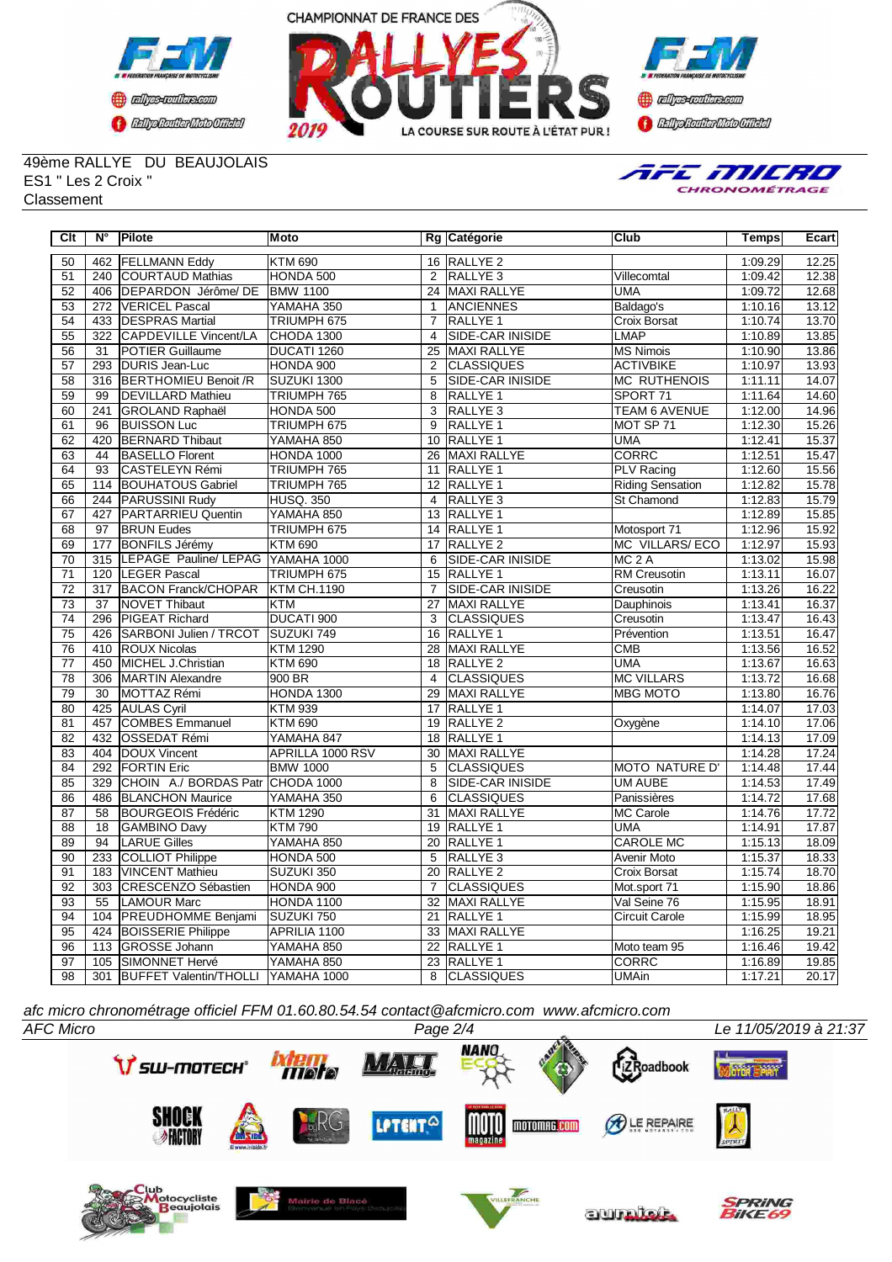





49ème RALLYE DU BEAUJOLAIS ES1 " Les 2 Croix " **Classement** 



| Clt             | $N^{\circ}$      | Pilote                                 | Moto               |                 | Rg Catégorie            | Club                    | Temps   | Ecart |
|-----------------|------------------|----------------------------------------|--------------------|-----------------|-------------------------|-------------------------|---------|-------|
| 50              | 462              | <b>FELLMANN Eddy</b>                   | <b>KTM 690</b>     |                 | 16 RALLYE 2             |                         | 1:09.29 | 12.25 |
| 51              | 240              | <b>COURTAUD Mathias</b>                | HONDA 500          | $\overline{2}$  | RALLYE <sub>3</sub>     | Villecomtal             | 1:09.42 | 12.38 |
| $\overline{52}$ | 406              | DEPARDON Jérôme/DE                     | <b>BMW 1100</b>    | 24              | <b>MAXI RALLYE</b>      | <b>UMA</b>              | 1:09.72 | 12.68 |
| 53              |                  | 272 VERICEL Pascal                     | YAMAHA 350         | $\mathbf{1}$    | <b>ANCIENNES</b>        | Baldago's               | 1:10.16 | 13.12 |
| $\overline{54}$ |                  | 433 <b>DESPRAS Martial</b>             | TRIUMPH 675        | $\overline{7}$  | <b>RALLYE 1</b>         | Croix Borsat            | 1:10.74 | 13.70 |
| 55              | $\overline{322}$ | CAPDEVILLE Vincent/LA                  | CHODA 1300         | $\overline{4}$  | <b>SIDE-CAR INISIDE</b> | <b>LMAP</b>             | 1:10.89 | 13.85 |
| 56              | $\overline{31}$  | <b>POTIER Guillaume</b>                | DUCATI 1260        | $\overline{25}$ | <b>MAXI RALLYE</b>      | <b>MS Nimois</b>        | 1:10.90 | 13.86 |
| $\overline{57}$ |                  | 293 DURIS Jean-Luc                     | HONDA 900          | $\overline{2}$  | <b>CLASSIQUES</b>       | <b>ACTIVBIKE</b>        | 1:10.97 | 13.93 |
| $\overline{58}$ | $\overline{316}$ | <b>BERTHOMIEU Benoit /R</b>            | SUZUKI 1300        | $\overline{5}$  | SIDE-CAR INISIDE        | <b>MC RUTHENOIS</b>     | 1:11.11 | 14.07 |
| $\overline{59}$ | 99               | <b>DEVILLARD Mathieu</b>               | TRIUMPH 765        | $\overline{8}$  | <b>RALLYE 1</b>         | SPORT 71                | 1:11.64 | 14.60 |
| $\overline{60}$ | 241              | <b>GROLAND Raphaël</b>                 | HONDA 500          | $\overline{3}$  | RALLYE <sub>3</sub>     | <b>TEAM 6 AVENUE</b>    | 1:12.00 | 14.96 |
| 61              | 96               | <b>BUISSON Luc</b>                     | TRIUMPH 675        | 9               | RALLYE <sub>1</sub>     | MOT SP 71               | 1:12.30 | 15.26 |
| 62              | 420              | <b>BERNARD Thibaut</b>                 | YAMAHA 850         | 10              | RALLYE <sub>1</sub>     | <b>UMA</b>              | 1:12.41 | 15.37 |
| 63              | 44               | <b>BASELLO Florent</b>                 | <b>HONDA 1000</b>  |                 | 26 MAXI RALLYE          | <b>CORRC</b>            | 1:12.51 | 15.47 |
| 64              | $\overline{93}$  | CASTELEYN Rémi                         | TRIUMPH 765        | 11              | <b>RALLYE 1</b>         | <b>PLV Racing</b>       | 1:12.60 | 15.56 |
| 65              | 114              | <b>BOUHATOUS Gabriel</b>               | TRIUMPH 765        | 12 <sup>2</sup> | RALLYE 1                | <b>Riding Sensation</b> | 1:12.82 | 15.78 |
| 66              | 244              | PARUSSINI Rudy                         | <b>HUSQ. 350</b>   | $\overline{4}$  | RALLYE <sub>3</sub>     | St Chamond              | 1:12.83 | 15.79 |
| 67              | 427              | PARTARRIEU Quentin                     | YAMAHA 850         | 13              | <b>RALLYE 1</b>         |                         | 1:12.89 | 15.85 |
| $\overline{68}$ | 97               | <b>BRUN Eudes</b>                      | TRIUMPH 675        |                 | 14 RALLYE 1             | Motosport 71            | 1:12.96 | 15.92 |
| 69              | 177              | <b>BONFILS Jérémy</b>                  | <b>KTM 690</b>     | 17              | <b>RALLYE 2</b>         | MC VILLARS/ECO          | 1:12.97 | 15.93 |
| $\overline{70}$ |                  | 315 LEPAGE Pauline/ LEPAG YAMAHA 1000  |                    | $\overline{6}$  | <b>SIDE-CAR INISIDE</b> | MC <sub>2</sub> A       | 1:13.02 | 15.98 |
| $\overline{71}$ |                  | 120 LEGER Pascal                       | TRIUMPH 675        | $\overline{15}$ | <b>RALLYE 1</b>         | <b>RM Creusotin</b>     | 1:13.11 | 16.07 |
| $\overline{72}$ | $\overline{317}$ | <b>BACON Franck/CHOPAR</b>             | <b>KTM CH.1190</b> | $\overline{7}$  | <b>SIDE-CAR INISIDE</b> | Creusotin               | 1:13.26 | 16.22 |
| 73              | 37               | NOVET Thibaut                          | <b>KTM</b>         | 27              | <b>MAXI RALLYE</b>      | Dauphinois              | 1:13.41 | 16.37 |
| $\overline{74}$ | 296              | <b>PIGEAT Richard</b>                  | DUCATI 900         | 3               | <b>CLASSIQUES</b>       | Creusotin               | 1:13.47 | 16.43 |
| 75              | 426              | SARBONI Julien / TRCOT                 | SUZUKI 749         | 16              | RALLYE <sub>1</sub>     | Prévention              | 1:13.51 | 16.47 |
| 76              |                  | 410 ROUX Nicolas                       | <b>KTM 1290</b>    | 28              | MAXI RALLYE             | <b>CMB</b>              | 1:13.56 | 16.52 |
| 77              | 450              | MICHEL J.Christian                     | <b>KTM 690</b>     | 18              | <b>RALLYE 2</b>         | <b>UMA</b>              | 1:13.67 | 16.63 |
| $\overline{78}$ | 306              | MARTIN Alexandre                       | 900 BR             | 4               | <b>CLASSIQUES</b>       | <b>MC VILLARS</b>       | 1:13.72 | 16.68 |
| $\overline{79}$ | 30               | MOTTAZ Rémi                            | HONDA 1300         | $\overline{29}$ | <b>MAXI RALLYE</b>      | <b>MBG MOTO</b>         | 1:13.80 | 16.76 |
| 80              | 425              | <b>AULAS Cyril</b>                     | <b>KTM 939</b>     | 17              | RALLYE 1                |                         | 1:14.07 | 17.03 |
| $\overline{81}$ | 457              | <b>COMBES Emmanuel</b>                 | <b>KTM 690</b>     | $\overline{19}$ | <b>RALLYE 2</b>         | Oxygène                 | 1:14.10 | 17.06 |
| 82              | 432              | <b>OSSEDAT Rémi</b>                    | YAMAHA 847         | 18              | RALLYE 1                |                         | 1:14.13 | 17.09 |
| 83              |                  | 404  DOUX Vincent                      | APRILLA 1000 RSV   | 30              | MAXI RALLYE             |                         | 1:14.28 | 17.24 |
| 84              | 292              | <b>FORTIN Eric</b>                     | <b>BMW 1000</b>    | $\overline{5}$  | <b>CLASSIQUES</b>       | <b>MOTO NATURE D'</b>   | 1:14.48 | 17.44 |
| 85              | 329              | CHOIN A./ BORDAS Patr CHODA 1000       |                    | 8               | SIDE-CAR INISIDE        | <b>UM AUBE</b>          | 1:14.53 | 17.49 |
| 86              | 486              | <b>BLANCHON Maurice</b>                | YAMAHA 350         | 6               | <b>CLASSIQUES</b>       | Panissières             | 1:14.72 | 17.68 |
| 87              | 58               | <b>BOURGEOIS Frédéric</b>              | <b>KTM 1290</b>    | $\overline{31}$ | <b>MAXI RALLYE</b>      | <b>MC Carole</b>        | 1:14.76 | 17.72 |
| $\overline{88}$ | $\overline{18}$  | GAMBINO Davy                           | <b>KTM790</b>      | $\overline{19}$ | <b>RALLYE 1</b>         | <b>UMA</b>              | 1:14.91 | 17.87 |
| 89              | 94               | <b>LARUE Gilles</b>                    | YAMAHA 850         | 20              | RALLYE <sub>1</sub>     | <b>CAROLE MC</b>        | 1:15.13 | 18.09 |
| $\overline{90}$ | 233              | COLLIOT Philippe                       | HONDA 500          | $\overline{5}$  | RALLYE <sub>3</sub>     | Avenir Moto             | 1:15.37 | 18.33 |
| 91              | 183              | VINCENT Mathieu                        | SUZUKI 350         |                 | 20 RALLYE 2             | Croix Borsat            | 1:15.74 | 18.70 |
| 92              | 303              | CRESCENZO Sébastien                    | HONDA 900          | $\overline{7}$  | <b>CLASSIQUES</b>       | Mot.sport 71            | 1:15.90 | 18.86 |
| 93              | 55               | <b>LAMOUR Marc</b>                     | HONDA 1100         | 32              | <b>MAXI RALLYE</b>      | Val Seine 76            | 1:15.95 | 18.91 |
| 94              | 104              | <b>PREUDHOMME Benjami</b>              | SUZUKI 750         | $\overline{21}$ | RALLYE 1                | Circuit Carole          | 1:15.99 | 18.95 |
| 95              | 424              | <b>BOISSERIE Philippe</b>              | APRILIA 1100       | 33              | <b>MAXI RALLYE</b>      |                         | 1:16.25 | 19.21 |
| 96              | 113              | <b>GROSSE Johann</b>                   | YAMAHA 850         | $\overline{22}$ | RALLYE 1                | Moto team 95            | 1:16.46 | 19.42 |
| 97              |                  | 105 SIMONNET Hervé                     | YAMAHA 850         | 23              | RALLYE <sub>1</sub>     | <b>CORRC</b>            | 1:16.89 | 19.85 |
| 98              |                  | 301 BUFFET Valentin/THOLLI YAMAHA 1000 |                    | $\overline{8}$  | <b>CLASSIQUES</b>       | <b>UMAin</b>            | 1:17.21 | 20.17 |

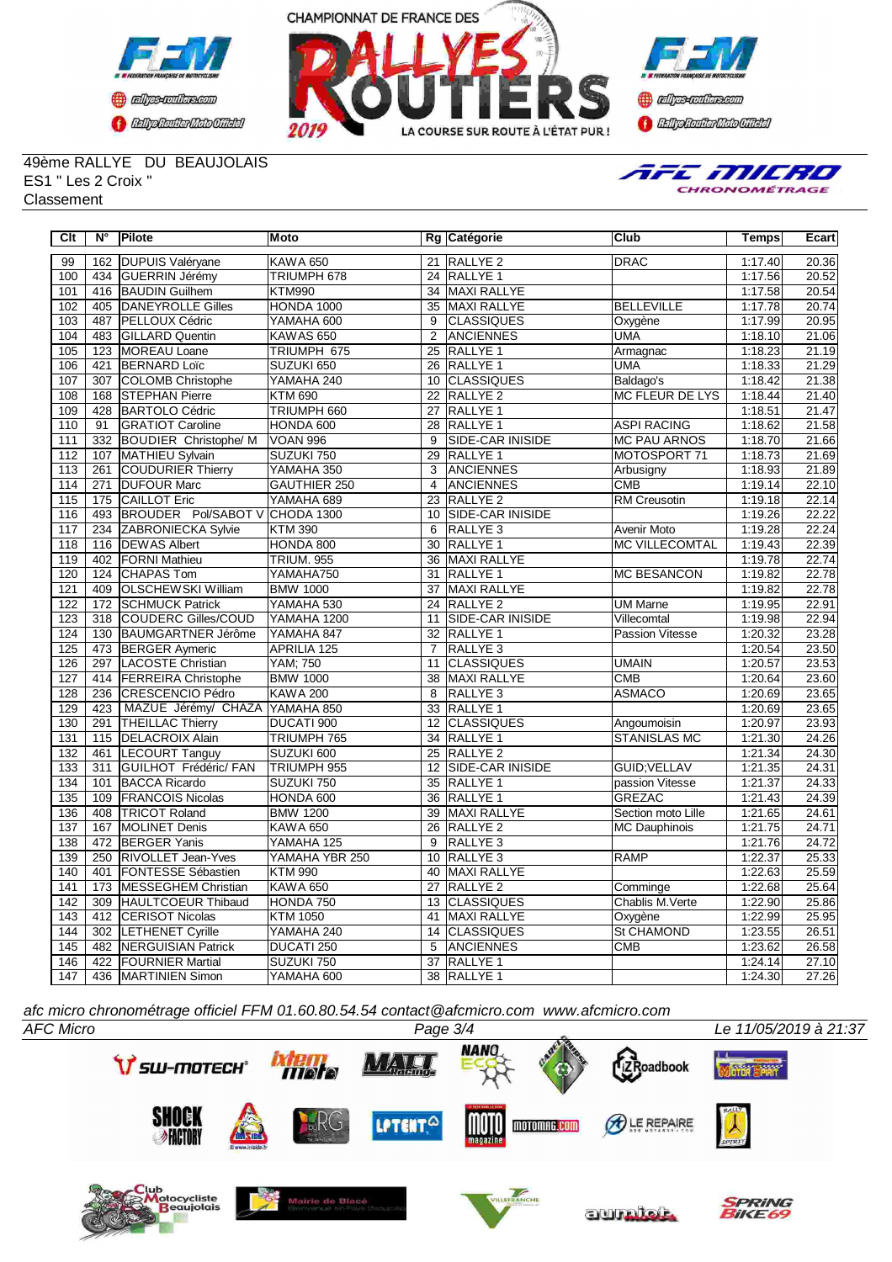





49ème RALLYE DU BEAUJOLAIS ES1 " Les 2 Croix " **Classement** 



| Clt | N°               | Pilote                       | Moto                |                 | Rg Catégorie            | Club                   | Temps   | Ecart |
|-----|------------------|------------------------------|---------------------|-----------------|-------------------------|------------------------|---------|-------|
| 99  | 162              | <b>DUPUIS Valéryane</b>      | <b>KAWA 650</b>     |                 | 21 RALLYE 2             | <b>DRAC</b>            | 1:17.40 | 20.36 |
| 100 | 434              | GUERRIN Jérémy               | TRIUMPH 678         |                 | 24 RALLYE 1             |                        | 1:17.56 | 20.52 |
| 101 | 416              | <b>BAUDIN Guilhem</b>        | <b>KTM990</b>       | 34              | MAXI RALLYE             |                        | 1:17.58 | 20.54 |
| 102 | 405              | DANEYROLLE Gilles            | <b>HONDA 1000</b>   | 35              | MAXI RALLYE             | <b>BELLEVILLE</b>      | 1:17.78 | 20.74 |
| 103 | 487              | PELLOUX Cédric               | YAMAHA 600          | 9               | <b>CLASSIQUES</b>       | Oxygène                | 1:17.99 | 20.95 |
| 104 | 483              | <b>GILLARD Quentin</b>       | KAWAS 650           | 2               | <b>ANCIENNES</b>        | <b>UMA</b>             | 1:18.10 | 21.06 |
| 105 | 123              | <b>MOREAU Loane</b>          | TRIUMPH 675         | $\overline{25}$ | <b>RALLYE 1</b>         | Armagnac               | 1:18.23 | 21.19 |
| 106 | 421              | <b>BERNARD Loïc</b>          | SUZUKI 650          | 26              | <b>RALLYE 1</b>         | <b>UMA</b>             | 1:18.33 | 21.29 |
| 107 | 307              | COLOMB Christophe            | YAMAHA 240          | 10              | <b>CLASSIQUES</b>       | Baldago's              | 1:18.42 | 21.38 |
| 108 | 168              | <b>STEPHAN Pierre</b>        | <b>KTM 690</b>      | $\overline{22}$ | <b>RALLYE 2</b>         | <b>MC FLEUR DE LYS</b> | 1:18.44 | 21.40 |
| 109 | 428              | <b>BARTOLO Cédric</b>        | TRIUMPH 660         | 27              | <b>RALLYE 1</b>         |                        | 1:18.51 | 21.47 |
| 110 | 91               | <b>GRATIOT Caroline</b>      | HONDA 600           | 28              | RALLYE <sub>1</sub>     | <b>ASPI RACING</b>     | 1:18.62 | 21.58 |
| 111 | 332              | <b>BOUDIER Christophe/ M</b> | <b>VOAN 996</b>     | $\overline{9}$  | SIDE-CAR INISIDE        | <b>MC PAU ARNOS</b>    | 1:18.70 | 21.66 |
| 112 | 107              | MATHIEU Sylvain              | SUZUKI 750          | 29              | RALLYE <sub>1</sub>     | MOTOSPORT 71           | 1:18.73 | 21.69 |
| 113 | 261              | COUDURIER Thierry            | YAMAHA 350          | $\overline{3}$  | <b>ANCIENNES</b>        | Arbusigny              | 1:18.93 | 21.89 |
| 114 | 271              | <b>DUFOUR Marc</b>           | <b>GAUTHIER 250</b> | 4               | <b>ANCIENNES</b>        | <b>CMB</b>             | 1:19.14 | 22.10 |
| 115 | 175              | <b>CAILLOT Eric</b>          | YAMAHA 689          | $\overline{23}$ | <b>RALLYE 2</b>         | <b>RM Creusotin</b>    | 1:19.18 | 22.14 |
| 116 | 493              | <b>BROUDER Pol/SABOT V</b>   | CHODA 1300          | 10              | <b>SIDE-CAR INISIDE</b> |                        | 1:19.26 | 22.22 |
| 117 | 234              | ZABRONIECKA Sylvie           | <b>KTM 390</b>      | 6               | RALLYE <sub>3</sub>     | Avenir Moto            | 1:19.28 | 22.24 |
| 118 | 116              | <b>DEWAS Albert</b>          | HONDA 800           | 30              | <b>RALLYE 1</b>         | <b>MC VILLECOMTAL</b>  | 1:19.43 | 22.39 |
| 119 | 402              | <b>FORNI Mathieu</b>         | <b>TRIUM. 955</b>   | 36              | MAXI RALLYE             |                        | 1:19.78 | 22.74 |
| 120 | 124              | <b>CHAPAS Tom</b>            | YAMAHA750           | 31              | <b>RALLYE 1</b>         | <b>MC BESANCON</b>     | 1:19.82 | 22.78 |
| 121 | 409              | <b>OLSCHEWSKI William</b>    | <b>BMW 1000</b>     | 37              | <b>MAXI RALLYE</b>      |                        | 1:19.82 | 22.78 |
| 122 | 172              | <b>SCHMUCK Patrick</b>       | YAMAHA 530          | 24              | RALLYE <sub>2</sub>     | <b>UM Marne</b>        | 1:19.95 | 22.91 |
| 123 | 318              | COUDERC Gilles/COUD          | YAMAHA 1200         | 11              | <b>SIDE-CAR INISIDE</b> | Villecomtal            | 1:19.98 | 22.94 |
| 124 | 130              | BAUMGARTNER Jérôme           | YAMAHA 847          | 32              | RALLYE <sub>1</sub>     | Passion Vitesse        | 1:20.32 | 23.28 |
| 125 |                  | 473 BERGER Aymeric           | APRILIA 125         | $\overline{7}$  | RALLYE <sub>3</sub>     |                        | 1:20.54 | 23.50 |
| 126 | 297              | LACOSTE Christian            | <b>YAM; 750</b>     | 11              | <b>CLASSIQUES</b>       | <b>UMAIN</b>           | 1:20.57 | 23.53 |
| 127 | 414              | <b>FERREIRA Christophe</b>   | <b>BMW 1000</b>     | 38              | <b>MAXI RALLYE</b>      | <b>CMB</b>             | 1:20.64 | 23.60 |
| 128 | 236              | <b>CRESCENCIO Pédro</b>      | <b>KAWA 200</b>     | $\overline{8}$  | RALLYE <sub>3</sub>     | <b>ASMACO</b>          | 1:20.69 | 23.65 |
| 129 | 423              | MAZUE Jérémy/ CHAZA          | YAMAHA 850          | 33              | <b>RALLYE 1</b>         |                        | 1:20.69 | 23.65 |
| 130 | 291              | <b>THEILLAC Thierry</b>      | DUCATI 900          | $\overline{12}$ | <b>CLASSIQUES</b>       | Angoumoisin            | 1:20.97 | 23.93 |
| 131 | 115              | <b>DELACROIX Alain</b>       | TRIUMPH 765         | 34              | <b>RALLYE 1</b>         | <b>STANISLAS MC</b>    | 1:21.30 | 24.26 |
| 132 | 461              | <b>LECOURT Tanguy</b>        | SUZUKI 600          |                 | 25 RALLYE 2             |                        | 1:21.34 | 24.30 |
| 133 | $\overline{311}$ | <b>GUILHOT Frédéric/ FAN</b> | TRIUMPH 955         | 12              | <b>SIDE-CAR INISIDE</b> | <b>GUID:VELLAV</b>     | 1:21.35 | 24.31 |
| 134 | 101              | <b>BACCA Ricardo</b>         | SUZUKI 750          | 35              | RALLYE <sub>1</sub>     | passion Vitesse        | 1:21.37 | 24.33 |
| 135 | 109              | <b>FRANCOIS Nicolas</b>      | HONDA 600           | $\overline{36}$ | <b>RALLYE 1</b>         | <b>GREZAC</b>          | 1:21.43 | 24.39 |
| 136 | 408              | <b>TRICOT Roland</b>         | <b>BMW 1200</b>     | 39              | <b>MAXI RALLYE</b>      | Section moto Lille     | 1:21.65 | 24.61 |
| 137 | 167              | MOLINET Denis                | <b>KAWA 650</b>     | $\overline{26}$ | <b>RALLYE 2</b>         | <b>MC Dauphinois</b>   | 1:21.75 | 24.71 |
| 138 | 472              | <b>BERGER Yanis</b>          | YAMAHA 125          | 9               | RALLYE <sub>3</sub>     |                        | 1:21.76 | 24.72 |
| 139 | 250              | <b>RIVOLLET Jean-Yves</b>    | YAMAHA YBR 250      | 10              | RALLYE <sub>3</sub>     | <b>RAMP</b>            | 1:22.37 | 25.33 |
| 140 | 401              | <b>FONTESSE Sébastien</b>    | <b>KTM 990</b>      |                 | 40 MAXI RALLYE          |                        | 1:22.63 | 25.59 |
| 141 | 173              | <b>MESSEGHEM Christian</b>   | <b>KAWA 650</b>     | 27              | RALLYE <sub>2</sub>     | Comminge               | 1:22.68 | 25.64 |
| 142 | 309              | HAULTCOEUR Thibaud           | HONDA 750           | 13              | <b>CLASSIQUES</b>       | Chablis M.Verte        | 1:22.90 | 25.86 |
| 143 | 412              | <b>CERISOT Nicolas</b>       | <b>KTM 1050</b>     | 41              | MAXI RALLYE             | Oxygène                | 1:22.99 | 25.95 |
| 144 |                  | 302 LETHENET Cyrille         | YAMAHA 240          | 14              | <b>CLASSIQUES</b>       | St CHAMOND             | 1:23.55 | 26.51 |
| 145 | 482              | <b>NERGUISIAN Patrick</b>    | DUCATI 250          | 5               | ANCIENNES               | CMB                    | 1:23.62 | 26.58 |
| 146 | 422              | <b>FOURNIER Martial</b>      | SUZUKI 750          | $\overline{37}$ | <b>RALLYE 1</b>         |                        | 1:24.14 | 27.10 |
| 147 |                  | 436 MARTINIEN Simon          | YAMAHA 600          |                 | 38 RALLYE 1             |                        | 1:24.30 | 27.26 |